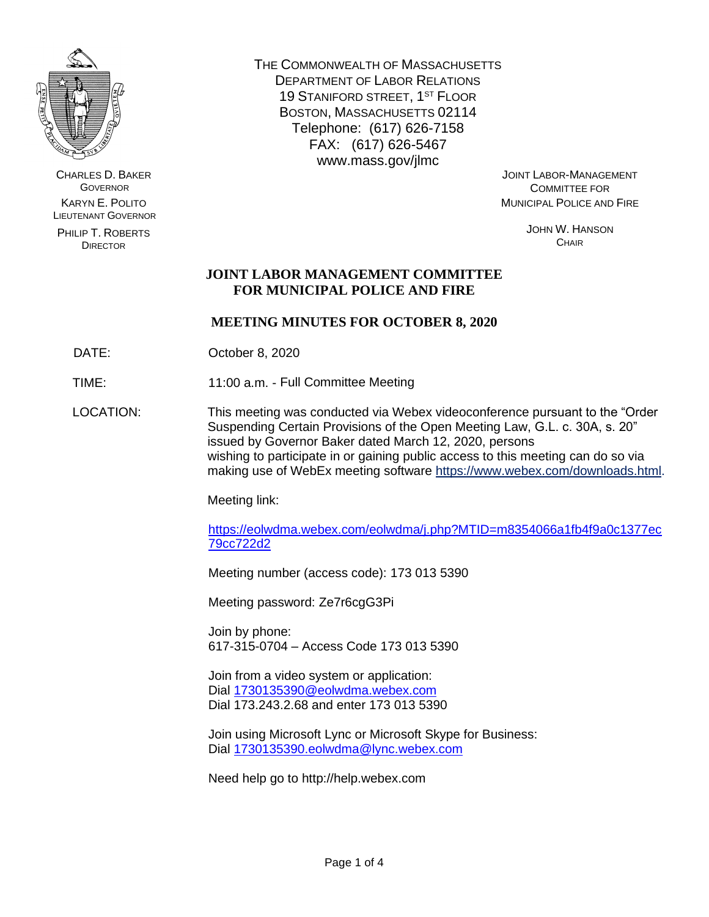

CHARLES D. BAKER **GOVERNOR** KARYN E. POLITO LIEUTENANT GOVERNOR

PHILIP T. ROBERTS DIRECTOR

THE COMMONWEALTH OF MASSACHUSETTS DEPARTMENT OF LABOR RELATIONS 19 STANIFORD STREET, 1<sup>ST</sup> FLOOR BOSTON, MASSACHUSETTS 02114 Telephone: (617) 626-7158 FAX: (617) 626-5467 www.mass.gov/jlmc

JOINT LABOR-MANAGEMENT COMMITTEE FOR MUNICIPAL POLICE AND FIRE

> JOHN W. HANSON **CHAIR**

# **JOINT LABOR MANAGEMENT COMMITTEE FOR MUNICIPAL POLICE AND FIRE**

## **MEETING MINUTES FOR OCTOBER 8, 2020**

DATE: **October 8, 2020** 

TIME: 11:00 a.m. - Full Committee Meeting

LOCATION: This meeting was conducted via Webex videoconference pursuant to the "Order Suspending Certain Provisions of the Open Meeting Law, G.L. c. 30A, s. 20" issued by Governor Baker dated March 12, 2020, persons wishing to participate in or gaining public access to this meeting can do so via making use of WebEx meeting software [https://www.webex.com/downloads.html.](https://www.webex.com/downloads.html)

Meeting link:

[https://eolwdma.webex.com/eolwdma/j.php?MTID=m8354066a1fb4f9a0c1377ec](https://eolwdma.webex.com/eolwdma/j.php?MTID=m8354066a1fb4f9a0c1377ec79cc722d22b) [79cc722d2](https://eolwdma.webex.com/eolwdma/j.php?MTID=m8354066a1fb4f9a0c1377ec79cc722d22b)

Meeting number (access code): 173 013 5390

Meeting password: Ze7r6cgG3Pi

Join by phone: 617-315-0704 – Access Code 173 013 5390

Join from a video system or application: Dial [1730135390@eolwdma.webex.com](mailto:1730135390@eolwdma.webex.com) Dial 173.243.2.68 and enter 173 013 5390

Join using Microsoft Lync or Microsoft Skype for Business: Dial [1730135390.eolwdma@lync.webex.com](mailto:1730135390.eolwdma@lync.webex.com)

Need help go to http://help.webex.com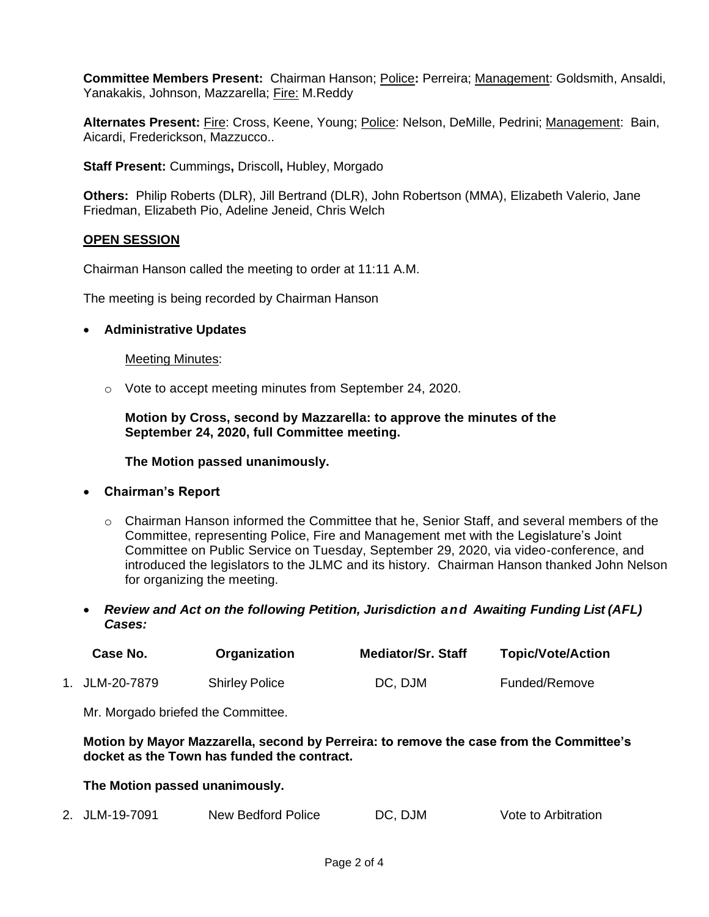**Committee Members Present:** Chairman Hanson; Police**:** Perreira; Management: Goldsmith, Ansaldi, Yanakakis, Johnson, Mazzarella; Fire: M.Reddy

**Alternates Present:** Fire: Cross, Keene, Young; Police: Nelson, DeMille, Pedrini; Management: Bain, Aicardi, Frederickson, Mazzucco..

**Staff Present:** Cummings**,** Driscoll**,** Hubley, Morgado

**Others:** Philip Roberts (DLR), Jill Bertrand (DLR), John Robertson (MMA), Elizabeth Valerio, Jane Friedman, Elizabeth Pio, Adeline Jeneid, Chris Welch

### **OPEN SESSION**

Chairman Hanson called the meeting to order at 11:11 A.M.

The meeting is being recorded by Chairman Hanson

#### • **Administrative Updates**

#### Meeting Minutes:

o Vote to accept meeting minutes from September 24, 2020.

**Motion by Cross, second by Mazzarella: to approve the minutes of the September 24, 2020, full Committee meeting.**

**The Motion passed unanimously.**

#### • **Chairman's Report**

- $\circ$  Chairman Hanson informed the Committee that he, Senior Staff, and several members of the Committee, representing Police, Fire and Management met with the Legislature's Joint Committee on Public Service on Tuesday, September 29, 2020, via video-conference, and introduced the legislators to the JLMC and its history. Chairman Hanson thanked John Nelson for organizing the meeting.
- *Review and Act on the following Petition, Jurisdiction and Awaiting Funding List (AFL) Cases:*

| Case No.       | Organization          | <b>Mediator/Sr. Staff</b> | <b>Topic/Vote/Action</b> |
|----------------|-----------------------|---------------------------|--------------------------|
| 1. JLM-20-7879 | <b>Shirley Police</b> | DC, DJM                   | Funded/Remove            |

Mr. Morgado briefed the Committee.

**Motion by Mayor Mazzarella, second by Perreira: to remove the case from the Committee's docket as the Town has funded the contract.** 

#### **The Motion passed unanimously.**

2. JLM-19-7091 New Bedford Police DC, DJM Vote to Arbitration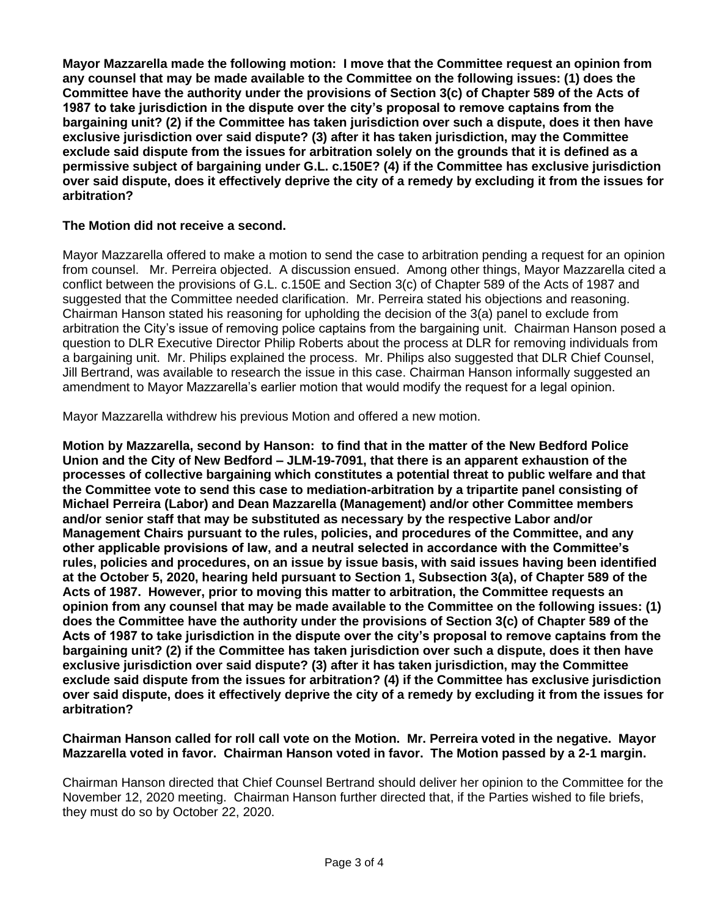**Mayor Mazzarella made the following motion: I move that the Committee request an opinion from any counsel that may be made available to the Committee on the following issues: (1) does the Committee have the authority under the provisions of Section 3(c) of Chapter 589 of the Acts of 1987 to take jurisdiction in the dispute over the city's proposal to remove captains from the bargaining unit? (2) if the Committee has taken jurisdiction over such a dispute, does it then have exclusive jurisdiction over said dispute? (3) after it has taken jurisdiction, may the Committee exclude said dispute from the issues for arbitration solely on the grounds that it is defined as a permissive subject of bargaining under G.L. c.150E? (4) if the Committee has exclusive jurisdiction over said dispute, does it effectively deprive the city of a remedy by excluding it from the issues for arbitration?** 

## **The Motion did not receive a second.**

Mayor Mazzarella offered to make a motion to send the case to arbitration pending a request for an opinion from counsel. Mr. Perreira objected. A discussion ensued. Among other things, Mayor Mazzarella cited a conflict between the provisions of G.L. c.150E and Section 3(c) of Chapter 589 of the Acts of 1987 and suggested that the Committee needed clarification. Mr. Perreira stated his objections and reasoning. Chairman Hanson stated his reasoning for upholding the decision of the 3(a) panel to exclude from arbitration the City's issue of removing police captains from the bargaining unit. Chairman Hanson posed a question to DLR Executive Director Philip Roberts about the process at DLR for removing individuals from a bargaining unit. Mr. Philips explained the process. Mr. Philips also suggested that DLR Chief Counsel, Jill Bertrand, was available to research the issue in this case. Chairman Hanson informally suggested an amendment to Mayor Mazzarella's earlier motion that would modify the request for a legal opinion.

Mayor Mazzarella withdrew his previous Motion and offered a new motion.

**Motion by Mazzarella, second by Hanson: to find that in the matter of the New Bedford Police Union and the City of New Bedford – JLM-19-7091, that there is an apparent exhaustion of the processes of collective bargaining which constitutes a potential threat to public welfare and that the Committee vote to send this case to mediation-arbitration by a tripartite panel consisting of Michael Perreira (Labor) and Dean Mazzarella (Management) and/or other Committee members and/or senior staff that may be substituted as necessary by the respective Labor and/or Management Chairs pursuant to the rules, policies, and procedures of the Committee, and any other applicable provisions of law, and a neutral selected in accordance with the Committee's rules, policies and procedures, on an issue by issue basis, with said issues having been identified at the October 5, 2020, hearing held pursuant to Section 1, Subsection 3(a), of Chapter 589 of the Acts of 1987. However, prior to moving this matter to arbitration, the Committee requests an opinion from any counsel that may be made available to the Committee on the following issues: (1) does the Committee have the authority under the provisions of Section 3(c) of Chapter 589 of the Acts of 1987 to take jurisdiction in the dispute over the city's proposal to remove captains from the bargaining unit? (2) if the Committee has taken jurisdiction over such a dispute, does it then have exclusive jurisdiction over said dispute? (3) after it has taken jurisdiction, may the Committee exclude said dispute from the issues for arbitration? (4) if the Committee has exclusive jurisdiction over said dispute, does it effectively deprive the city of a remedy by excluding it from the issues for arbitration?** 

**Chairman Hanson called for roll call vote on the Motion. Mr. Perreira voted in the negative. Mayor Mazzarella voted in favor. Chairman Hanson voted in favor. The Motion passed by a 2-1 margin.**

Chairman Hanson directed that Chief Counsel Bertrand should deliver her opinion to the Committee for the November 12, 2020 meeting. Chairman Hanson further directed that, if the Parties wished to file briefs, they must do so by October 22, 2020.